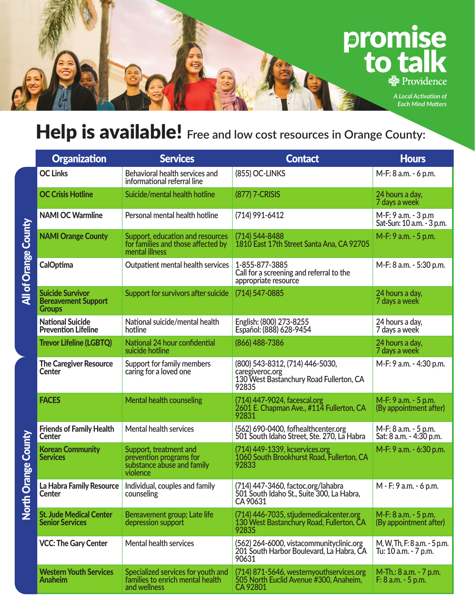## promise<br>to talk  $\frac{1}{2}$  Providence

*A Local Activation of Each Mind Matters*

## Help is available! **Free and low cost resources in Orange County:**

|                                                                            | <b>Organization</b>                                                    | <b>Services</b>                                                                             | <b>Contact</b>                                                                                         | <b>Hours</b>                                         |
|----------------------------------------------------------------------------|------------------------------------------------------------------------|---------------------------------------------------------------------------------------------|--------------------------------------------------------------------------------------------------------|------------------------------------------------------|
| All of Orange County<br><b>Orange County</b><br>$\overline{c}$<br><b>甘</b> | <b>OC Links</b>                                                        | Behavioral health services and<br>informational referral line                               | (855) OC-LINKS                                                                                         | M-F: 8 a.m. - 6 p.m.                                 |
|                                                                            | <b>OC Crisis Hotline</b>                                               | Suicide/mental health hotline                                                               | (877) 7-CRISIS                                                                                         | 24 hours a day,<br>7 days a week                     |
|                                                                            | <b>NAMI OC Warmline</b>                                                | Personal mental health hotline                                                              | (714) 991-6412                                                                                         | M-F: 9 a.m. - 3 p.m<br>Sat-Sun: 10 a.m. - 3 p.m.     |
|                                                                            | <b>NAMI Orange County</b>                                              | Support, education and resources<br>for families and those affected by<br>mental illness    | (714) 544-8488<br>1810 East 17th Street Santa Ana, CA 92705                                            | M-F: 9 a.m. - 5 p.m.                                 |
|                                                                            | <b>CalOptima</b>                                                       | Outpatient mental health services                                                           | 1-855-877-3885<br>Call for a screening and referral to the<br>appropriate resource                     | M-F: 8 a.m. - 5:30 p.m.                              |
|                                                                            | <b>Suicide Survivor</b><br><b>Bereavement Support</b><br><b>Groups</b> | Support for survivors after suicide                                                         | (714) 547-0885                                                                                         | 24 hours a day,<br>7 days a week                     |
|                                                                            | <b>National Suicide</b><br><b>Prevention Lifeline</b>                  | National suicide/mental health<br>hotline                                                   | English: (800) 273-8255<br>Español: (888) 628-9454                                                     | 24 hours a day,<br>7 days a week                     |
|                                                                            | <b>Trevor Lifeline (LGBTQ)</b>                                         | National 24 hour confidential<br>suicide hotline                                            | (866) 488-7386                                                                                         | 24 hours a day,<br>7 days a week                     |
|                                                                            | <b>The Caregiver Resource</b><br><b>Center</b>                         | Support for family members<br>caring for a loved one                                        | (800) 543-8312, (714) 446-5030,<br>caregiveroc.org<br>130 West Bastanchury Road Fullerton, CA<br>92835 | M-F: 9 a.m. - 4:30 p.m.                              |
|                                                                            | <b>FACES</b>                                                           | <b>Mental health counseling</b>                                                             | (714) 447-9024, facescal.org<br>2601 E. Chapman Ave., #114 Fullerton, CA<br>92831                      | M-F: 9 a.m. - 5 p.m.<br>(By appointment after)       |
|                                                                            | <b>Friends of Family Health</b><br><b>Center</b>                       | <b>Mental health services</b>                                                               | (562) 690-0400, fofhealthcenter.org<br>501 South Idaho Street, Ste. 270, La Habra                      | M-F: 8 a.m. - 5 p.m.<br>Sat: 8 a.m. - 4:30 p.m.      |
|                                                                            | <b>Korean Community</b><br><b>Services</b>                             | Support, treatment and<br>prevention programs for<br>substance abuse and family<br>violence | (714) 449-1339, kcservices.org<br>1060 South Brookhurst Road, Fullerton, CA<br>92833                   | M-F: 9 a.m. - 6:30 p.m.                              |
|                                                                            | La Habra Family Resource<br>Center                                     | Individual, couples and family<br>counseling                                                | (714) 447-3460, factoc.org/lahabra<br>501 South Idaho St., Suite 300, La Habra,<br>CA 90631            | M - F: 9 a.m. - 6 p.m.                               |
|                                                                            | <b>St. Jude Medical Center</b><br><b>Senior Services</b>               | Bereavement group; Late life<br>depression support                                          | (714) 446-7035, stjudemedicalcenter.org<br>130 West Bastanchury Road, Fullerton, CA<br>92835           | M-F: 8 a.m. - 5 p.m.<br>(By appointment after)       |
|                                                                            | <b>VCC: The Gary Center</b>                                            | <b>Mental health services</b>                                                               | (562) 264-6000, vistacommunityclinic.org<br>201 South Harbor Boulevard, La Habra, CA<br>90631          | M, W, Th, F: 8 a.m. - 5 p.m.<br>Tu: 10 a.m. - 7 p.m. |
|                                                                            | <b>Western Youth Services</b><br><b>Anaheim</b>                        | Specialized services for youth and<br>families to enrich mental health<br>and wellness      | (714) 871-5646, westernyouthservices.org<br>505 North Euclid Avenue #300, Anaheim,<br>CA 92801         | M-Th.: 8 a.m. - 7 p.m.<br>$F: 8$ a.m. $-5$ p.m.      |